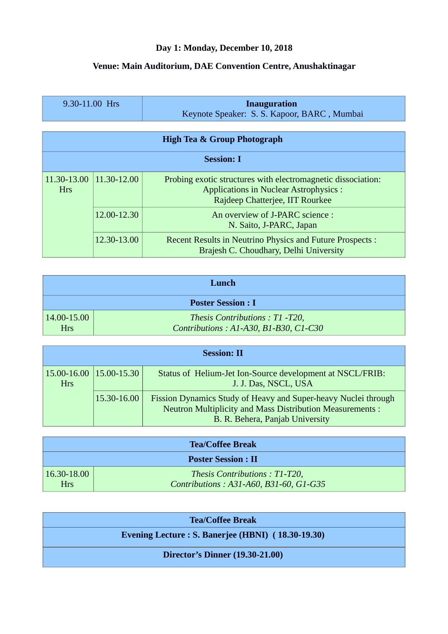## **Day 1: Monday, December 10, 2018**

## **Venue: Main Auditorium, DAE Convention Centre, Anushaktinagar**

| $9.30 - 11.00$ Hrs | Inauguration                                |  |
|--------------------|---------------------------------------------|--|
|                    | Keynote Speaker: S. S. Kapoor, BARC, Mumbai |  |

| <b>High Tea &amp; Group Photograph</b> |             |                                                                                                                                                 |
|----------------------------------------|-------------|-------------------------------------------------------------------------------------------------------------------------------------------------|
| <b>Session: I</b>                      |             |                                                                                                                                                 |
| 11.30-13.00<br><b>Hrs</b>              | 11.30-12.00 | Probing exotic structures with electromagnetic dissociation:<br><b>Applications in Nuclear Astrophysics:</b><br>Rajdeep Chatterjee, IIT Rourkee |
|                                        | 12.00-12.30 | An overview of J-PARC science :<br>N. Saito, J-PARC, Japan                                                                                      |
|                                        | 12.30-13.00 | Recent Results in Neutrino Physics and Future Prospects :<br>Brajesh C. Choudhary, Delhi University                                             |

| Lunch                     |                                                                        |  |
|---------------------------|------------------------------------------------------------------------|--|
| <b>Poster Session: I</b>  |                                                                        |  |
| 14.00-15.00<br><b>Hrs</b> | Thesis Contributions: T1-T20,<br>Contributions: A1-A30, B1-B30, C1-C30 |  |

| <b>Session: II</b>                            |             |                                                                                                                                                                      |
|-----------------------------------------------|-------------|----------------------------------------------------------------------------------------------------------------------------------------------------------------------|
| $15.00 - 16.00$ $15.00 - 15.30$<br><b>Hrs</b> |             | Status of Helium-Jet Ion-Source development at NSCL/FRIB:<br>J. J. Das, NSCL, USA                                                                                    |
|                                               | 15.30-16.00 | Fission Dynamics Study of Heavy and Super-heavy Nuclei through<br><b>Neutron Multiplicity and Mass Distribution Measurements:</b><br>B. R. Behera, Panjab University |

| <b>Tea/Coffee Break</b>       |                                                                         |  |
|-------------------------------|-------------------------------------------------------------------------|--|
| <b>Poster Session: II</b>     |                                                                         |  |
| $16.30 - 18.00$<br><b>Hrs</b> | Thesis Contributions: T1-T20,<br>Contributions: A31-A60, B31-60, G1-G35 |  |

| <b>Tea/Coffee Break</b>                            |  |  |
|----------------------------------------------------|--|--|
| Evening Lecture : S. Banerjee (HBNI) (18.30-19.30) |  |  |
| <b>Director's Dinner (19.30-21.00)</b>             |  |  |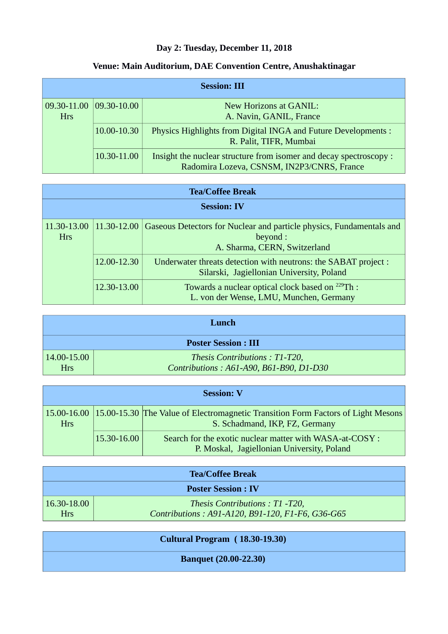## **Day 2: Tuesday, December 11, 2018**

## **Venue: Main Auditorium, DAE Convention Centre, Anushaktinagar**

| <b>Session: III</b>                   |             |                                                                                                                  |
|---------------------------------------|-------------|------------------------------------------------------------------------------------------------------------------|
| 09.30-11.00 09.30-10.00<br><b>Hrs</b> |             | New Horizons at GANIL:<br>A. Navin, GANIL, France                                                                |
|                                       | 10.00-10.30 | Physics Highlights from Digital INGA and Future Developments :<br>R. Palit, TIFR, Mumbai                         |
|                                       | 10.30-11.00 | Insight the nuclear structure from isomer and decay spectroscopy :<br>Radomira Lozeva, CSNSM, IN2P3/CNRS, France |

| <b>Tea/Coffee Break</b>   |             |                                                                                                                  |
|---------------------------|-------------|------------------------------------------------------------------------------------------------------------------|
| <b>Session: IV</b>        |             |                                                                                                                  |
| 11.30-13.00<br><b>Hrs</b> | 11.30-12.00 | Gaseous Detectors for Nuclear and particle physics, Fundamentals and<br>beyond :<br>A. Sharma, CERN, Switzerland |
|                           | 12.00-12.30 | Underwater threats detection with neutrons: the SABAT project :<br>Silarski, Jagiellonian University, Poland     |
|                           | 12.30-13.00 | Towards a nuclear optical clock based on <sup>229</sup> Th :<br>L. von der Wense, LMU, Munchen, Germany          |

| Lunch                         |                                                                          |  |
|-------------------------------|--------------------------------------------------------------------------|--|
| <b>Poster Session: III</b>    |                                                                          |  |
| $14.00 - 15.00$<br><b>Hrs</b> | Thesis Contributions: T1-T20,<br>Contributions: A61-A90, B61-B90, D1-D30 |  |

| <b>Session: V</b> |             |                                                                                                                                |
|-------------------|-------------|--------------------------------------------------------------------------------------------------------------------------------|
| <b>Hrs</b>        |             | 15.00-16.00 15.00-15.30 The Value of Electromagnetic Transition Form Factors of Light Mesons<br>S. Schadmand, IKP, FZ, Germany |
|                   | 15.30-16.00 | Search for the exotic nuclear matter with WASA-at-COSY :<br>P. Moskal, Jagiellonian University, Poland                         |

| <b>Tea/Coffee Break</b>       |                                                                                   |  |
|-------------------------------|-----------------------------------------------------------------------------------|--|
| <b>Poster Session: IV</b>     |                                                                                   |  |
| $16.30 - 18.00$<br><b>Hrs</b> | Thesis Contributions: T1-T20,<br>Contributions: A91-A120, B91-120, F1-F6, G36-G65 |  |
|                               |                                                                                   |  |

| <b>Cultural Program (18.30-19.30)</b> |  |
|---------------------------------------|--|
| <b>Banquet (20.00-22.30)</b>          |  |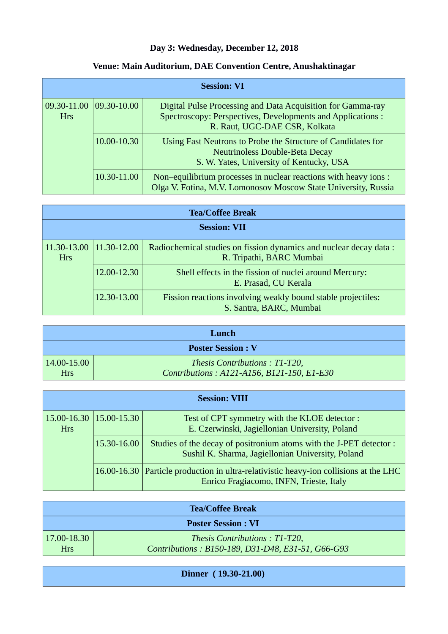## **Day 3: Wednesday, December 12, 2018**

## **Venue: Main Auditorium, DAE Convention Centre, Anushaktinagar**

|                           |                   | <b>Session: VI</b>                                                                                                                                          |
|---------------------------|-------------------|-------------------------------------------------------------------------------------------------------------------------------------------------------------|
| 09.30-11.00<br><b>Hrs</b> | $ 09.30 - 10.00 $ | Digital Pulse Processing and Data Acquisition for Gamma-ray<br>Spectroscopy: Perspectives, Developments and Applications :<br>R. Raut, UGC-DAE CSR, Kolkata |
|                           | 10.00-10.30       | Using Fast Neutrons to Probe the Structure of Candidates for<br><b>Neutrinoless Double-Beta Decay</b><br>S. W. Yates, University of Kentucky, USA           |
|                           | 10.30-11.00       | Non-equilibrium processes in nuclear reactions with heavy ions :<br>Olga V. Fotina, M.V. Lomonosov Moscow State University, Russia                          |

| <b>Tea/Coffee Break</b>   |             |                                                                                                |
|---------------------------|-------------|------------------------------------------------------------------------------------------------|
| <b>Session: VII</b>       |             |                                                                                                |
| 11.30-13.00<br><b>Hrs</b> | 11.30-12.00 | Radiochemical studies on fission dynamics and nuclear decay data :<br>R. Tripathi, BARC Mumbai |
|                           | 12.00-12.30 | Shell effects in the fission of nuclei around Mercury:<br>E. Prasad, CU Kerala                 |
|                           | 12.30-13.00 | Fission reactions involving weakly bound stable projectiles:<br>S. Santra, BARC, Mumbai        |

| T amch                   |                                            |  |
|--------------------------|--------------------------------------------|--|
| <b>Poster Session: V</b> |                                            |  |
| $14.00 - 15.00$          | Thesis Contributions: T1-T20,              |  |
| <b>Hrs</b>               | Contributions: A121-A156, B121-150, E1-E30 |  |

| <b>Session: VIII</b>                          |             |                                                                                                                                  |
|-----------------------------------------------|-------------|----------------------------------------------------------------------------------------------------------------------------------|
| $15.00 - 16.30$ $15.00 - 15.30$<br><b>Hrs</b> |             | Test of CPT symmetry with the KLOE detector :<br>E. Czerwinski, Jagiellonian University, Poland                                  |
|                                               | 15.30-16.00 | Studies of the decay of positronium atoms with the J-PET detector :<br>Sushil K. Sharma, Jagiellonian University, Poland         |
|                                               |             | 16.00-16.30 Particle production in ultra-relativistic heavy-ion collisions at the LHC<br>Enrico Fragiacomo, INFN, Trieste, Italy |

| <b>Tea/Coffee Break</b> |                                                   |  |
|-------------------------|---------------------------------------------------|--|
|                         | <b>Poster Session : VI</b>                        |  |
| $17.00 - 18.30$         | Thesis Contributions: T1-T20,                     |  |
| <b>Hrs</b>              | Contributions: B150-189, D31-D48, E31-51, G66-G93 |  |

**Dinner ( 19.30-21.00)**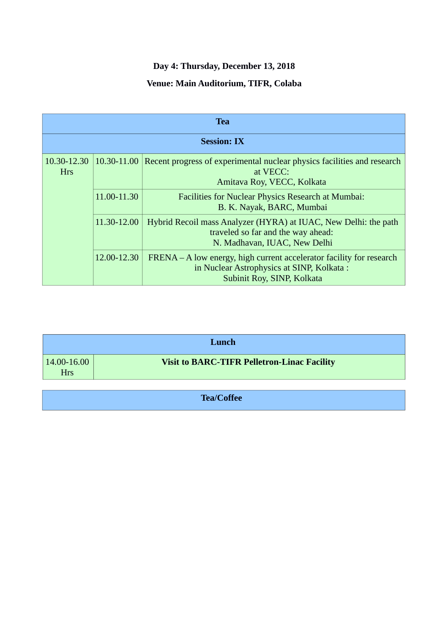# **Day 4: Thursday, December 13, 2018**

## **Venue: Main Auditorium, TIFR, Colaba**

| <b>Tea</b>                |             |                                                                                                                                                 |
|---------------------------|-------------|-------------------------------------------------------------------------------------------------------------------------------------------------|
| <b>Session: IX</b>        |             |                                                                                                                                                 |
| 10.30-12.30<br><b>Hrs</b> | 10.30-11.00 | Recent progress of experimental nuclear physics facilities and research<br>at VECC:<br>Amitava Roy, VECC, Kolkata                               |
|                           | 11.00-11.30 | Facilities for Nuclear Physics Research at Mumbai:<br>B. K. Nayak, BARC, Mumbai                                                                 |
|                           | 11.30-12.00 | Hybrid Recoil mass Analyzer (HYRA) at IUAC, New Delhi: the path<br>traveled so far and the way ahead:<br>N. Madhavan, IUAC, New Delhi           |
|                           | 12.00-12.30 | FRENA – A low energy, high current accelerator facility for research<br>in Nuclear Astrophysics at SINP, Kolkata:<br>Subinit Roy, SINP, Kolkata |

| Lunch |  |  |
|-------|--|--|
|       |  |  |
|       |  |  |

**Tea/Coffee**